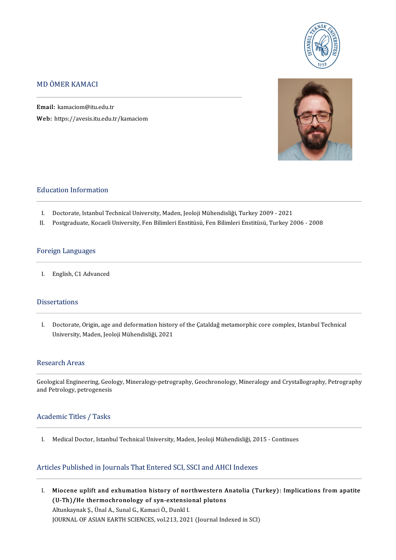

### MDÖMERKAMACI

Email: kamaciom@itu.edu.tr Web: https://avesis.itu.edu.tr/kamaciom



#### **Education Information**

- I. Doctorate, Istanbul Technical University, Maden, Jeoloji Mühendisliği, Turkey 2009 2021<br>II. Postgraduate, Kocaeli University, Fen Bilimleri Enstitüsü, Fen Bilimleri Enstitüsü, Turkey 2
- Postgraduate, Kocaeli University, Fen Bilimleri Enstitüsü, Fen Bilimleri Enstitüsü, Turkey 2006 2008

#### Foreign Languages

I. English, C1 Advanced

#### **Dissertations**

Issertations<br>I. Doctorate, Origin, age and deformation history of the Çataldağ metamorphic core complex, Istanbul Technical<br>University Meden Jookii Mühandisliği, 2021 Doctorate, Origin, age and deformation histor<br>University, Maden, Jeoloji Mühendisliği, 2021 University, Maden, Jeoloji Mühendisliği, 2021<br>Research Areas

GeologicalEngineering,Geology,Mineralogy-petrography,Geochronology,MineralogyandCrystalography,Petrography researen in 1828<br>Geological Engineering, Geol<br>and Petrology, petrogenesis

# and Petrology, petrogenesis<br>Academic Titles / Tasks

I. Medical Doctor, Istanbul Technical University, Maden, Jeoloji Mühendisliği, 2015 - Continues

### Articles Published in Journals That Entered SCI, SSCI and AHCI Indexes

rticles Published in Journals That Entered SCI, SSCI and AHCI Indexes<br>I. Miocene uplift and exhumation history of northwestern Anatolia (Turkey): Implications from apatite<br>I. Miocene uplift and exhumation history of northw Miocene uplift and exhumation history of northwestern A<br>(U-Th)/He thermochronology of syn-extensional plutons Miocene uplift and exhumation history of nor<br>(U-Th)/He thermochronology of syn-extensic<br>Altunkaynak Ş., Ünal A., Sunal G., Kamaci Ö., Dunkl I.<br>JOUPMAL OF ASIAN FARTH SCIENCES, 11213-202 (U-Th)/He thermochronology of syn-extensional plutons<br>Altunkaynak Ş., Ünal A., Sunal G., Kamaci Ö., Dunkl I.<br>JOURNAL OF ASIAN EARTH SCIENCES, vol.213, 2021 (Journal Indexed in SCI)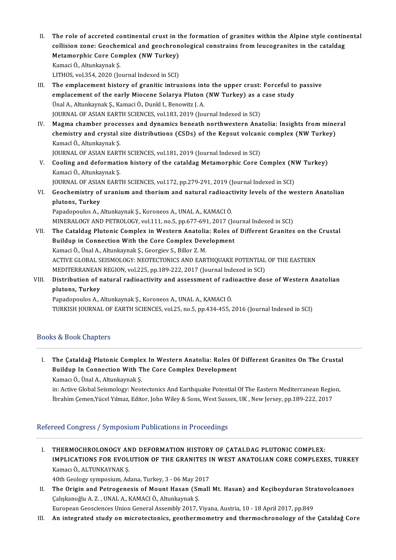- II. The role of accreted continental crust in the formation of granites within the Alpine style continental<br>Collision Fone: Coochemical and geochronological constrains from lougegranites in the sataldes The role of accreted continental crust in the formation of granites within the Alpine style contin<br>collision zone: Geochemical and geochronological constrains from leucogranites in the cataldag<br>Metamernhis Care Compley (NW The role of accreted continental crust in t<br>collision zone: Geochemical and geochron<br>Metamorphic Core Complex (NW Turkey)<br>Kamasi Ö. Altunkaymak S collision zone: Geochemical and geochronological constrains from leucogranites in the cataldag<br>Metamorphic Core Complex (NW Turkey)<br>Kamaci Ö., Altunkaynak Ş. LITHOS, vol.354, 2020 (Journal Indexed in SCI) Kamaci Ö., Altunkaynak Ş.<br>LITHOS, vol.354, 2020 (Journal Indexed in SCI)<br>III. The emplacement history of granitic intrusions into the upper crust: Forceful to passive<br>complacement of the early Missone Solarya Bluton (NW Tu
- LITHOS, vol.354, 2020 (Journal Indexed in SCI)<br>The emplacement history of granitic intrusions into the upper crust: Forceful to<br>emplacement of the early Miocene Solarya Pluton (NW Turkey) as a case study<br><sup>Thol A</sup>, Alturkay emplacement of the early Miocene Solarya Pluton (NW Turkey) as a case study Unal A., Altunkaynak Ş., Kamaci Ö., Dunkl I., Benowitz J. A. JOURNAL OF ASIAN EARTH SCIENCES, vol.183, 2019 (Journal Indexed in SCI) Unal A., Altunkaynak Ş., Kamaci Ö., Dunkl I., Benowitz J. A.<br>JOURNAL OF ASIAN EARTH SCIENCES, vol.183, 2019 (Journal Indexed in SCI)<br>IV. Magma chamber processes and dynamics beneath northwestern Anatolia: Insights from min
- JOURNAL OF ASIAN EARTH SCIENCES, vol.183, 2019 (Journal Indexed in SCI)<br>Magma chamber processes and dynamics beneath northwestern Anatolia: Insights from mine<br>chemistry and crystal size distributions (CSDs) of the Kepsut v Magma chamber proce<br>chemistry and crystal<br>Kamacl Ö., Altunkaynak Ş.<br>JOUPMAL OE ASIAN FART chemistry and crystal size distributions (CSDs) of the Kepsut volcanic complex (NW Turkey)<br>Kamacl Ö., Altunkaynak Ş.<br>JOURNAL OF ASIAN EARTH SCIENCES, vol.181, 2019 (Journal Indexed in SCI)
- Kamacl Ö., Altunkaynak Ş.<br>JOURNAL OF ASIAN EARTH SCIENCES, vol.181, 2019 (Journal Indexed in SCI)<br>V. Cooling and deformation history of the cataldag Metamorphic Core Complex (NW Turkey)<br>Kamasi Ö. Altunkaynak S. **JOURNAL OF ASIAN EART<br>Cooling and deformation<br>Kamaci Ö., Altunkaynak Ş.<br>JOUPNAL OF ASIAN FART** Cooling and deformation history of the cataldag Metamorphic Core Complex (N<br>Kamaci Ö., Altunkaynak Ş.<br>JOURNAL OF ASIAN EARTH SCIENCES, vol.172, pp.279-291, 2019 (Journal Indexed in SCI)<br>Coochamistry of uranium and thorium
- Kamaci Ö., Altunkaynak Ş.<br>JOURNAL OF ASIAN EARTH SCIENCES, vol.172, pp.279-291, 2019 (Journal Indexed in SCI)<br>VI. Geochemistry of uranium and thorium and natural radioactivity levels of the western Anatolian<br>plutons. T **JOURNAL OF ASIA<br>Geochemistry of<br>plutons, Turkey**<br>Papadapoulas A Geochemistry of uranium and thorium and natural radioact<br>plutons, Turkey<br>Papadopoulos A., Altunkaynak Ş., Koroneos A., UNAL A., KAMACI Ö.<br>MINERALOCY AND PETROLOCY vol 111 no 5 nn 677-601-2017 (L pl<mark>utons, Turkey</mark><br>Papadopoulos A., Altunkaynak Ş., Koroneos A., UNAL A., KAMACI Ö.<br>MINERALOGY AND PETROLOGY, vol.111, no.5, pp.677-691, 2017 (Journal Indexed in SCI)<br>The Cetaldeg Plutania Complex in Western Anatolia: Polas

Papadopoulos A., Altunkaynak Ş., Koroneos A., UNAL A., KAMACI Ö.<br>MINERALOGY AND PETROLOGY, vol.111, no.5, pp.677-691, 2017 (Journal Indexed in SCI)<br>VII. The Cataldag Plutonic Complex in Western Anatolia: Roles of Different MINERALOGY AND PETROLOGY, vol.111, no.5, pp.677-691, 2017 (Jo<br>The Cataldag Plutonic Complex in Western Anatolia: Roles o<br>Buildup in Connection With the Core Complex Development<br>Kamasi Ö. Ünal A. Altunkaynak S. Coorgioy S. KamaciÖ.,ÜnalA.,AltunkaynakŞ.,GeorgievS.,Bilor Z.M. Buildup in Connection With the Core Complex Development<br>Kamaci Ö., Ünal A., Altunkaynak Ş., Georgiev S., Billor Z. M.<br>ACTIVE GLOBAL SEISMOLOGY: NEOTECTONICS AND EARTHQUAKE POTENTIAL OF THE EASTERN<br>MEDITERRANEAN RECION vol Kamaci Ö., Ünal A., Altunkaynak Ş., Georgiev S., Billor Z. M.<br>ACTIVE GLOBAL SEISMOLOGY: NEOTECTONICS AND EARTHQUAKE POTENTIAL<br>MEDITERRANEAN REGION, vol.225, pp.189-222, 2017 (Journal Indexed in SCI)<br>Distribution of natural VIII. Distribution of natural radioactivity and assessment of radioactive dose of Western Anatolian plutons, Turkey MEDITERRANEAN REGION, vol.225, pp.189-222, 2017 (Journal Indexed in SCI)

Papadopoulos A., Altunkaynak Ş., Koroneos A., UNAL A., KAMACI Ö. TURKISH JOURNAL OF EARTH SCIENCES, vol.25, no.5, pp.434-455, 2016 (Journal Indexed in SCI)

### Books&BookChapters

I. The Çataldağ Plutonic Complex InWestern Anatolia: Roles Of Different Granites On The Crustal The Çataldağ Plutonic Complex In Western Anatolia: Roles Of<br>Buildup In Connection With The Core Complex Development Buildup In Connection With The Core Complex Development<br>Kamacı Ö., Ünal A., Altunkaynak Ş. Buildup In Connection With The Core Complex Development<br>Kamacı Ö., Ünal A., Altunkaynak Ş.<br>in: Active Global Seismology: Neotectonics And Earthquake Potential Of The Eastern Mediterranean Region,<br>İhrahim Caman Vücal Vılmag

Kamacı Ö., Ünal A., Altunkaynak Ş.<br>in: Active Global Seismology: Neotectonics And Earthquake Potential Of The Eastern Mediterranean Regic<br>İbrahim Çemen,Yücel Yılmaz, Editor, John Wiley & Sons, West Sussex, UK , New Jersey, İbrahim Çemen,Yücel Yılmaz, Editor, John Wiley & Sons, West Sussex, UK , New Jersey, pp.189-222, 2017<br>Refereed Congress / Symposium Publications in Proceedings

I. THERMOCHROLONOGY AND DEFORMATION HISTORY OF ÇATALDAG PLUTONIC COMPLEX: THERMOCHROLONOGY AND DEFORMATION HISTORY OF ÇATALDAG PLUTONIC COMPLEX:<br>IMPLICATIONS FOR EVOLUTION OF THE GRANITES IN WEST ANATOLIAN CORE COMPLEXES, TURKEY THERMOCHROLONOGY AN<br>IMPLICATIONS FOR EVOL<br>Kamacı Ö., ALTUNKAYNAK Ş.<br>40th Coology symposium, Ad IMPLICATIONS FOR EVOLUTION OF THE GRANITES I<br>Kamacı Ö., ALTUNKAYNAK Ş.<br>40th Geology symposium, Adana, Turkey, 3 - 06 May 2017<br>The Origin and Betrogenesis of Mount Hesen (Small

40th Geology symposium, Adana, Turkey, 3 - 06 May 2017

Kamacı Ö., ALTUNKAYNAK Ş.<br>40th Geology symposium, Adana, Turkey, 3 - 06 May 2017<br>II. The Origin and Petrogenesis of Mount Hasan (Small Mt. Hasan) and Keçiboyduran Stratovolcanoes<br>Calışkanoğlu A. Z. , UNAL A., KAMACI Ö.

European Geosciences Union General Assembly 2017, Viyana, Austria, 10 - 18 April 2017, pp.849

III. An integrated study on microtectonics, geothermometry and thermochronology of the Çataldağ Core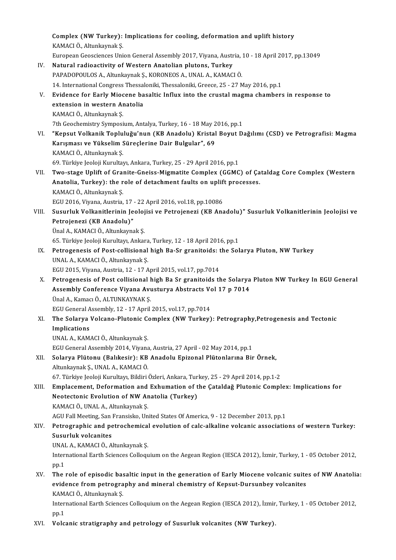Complex (NW Turkey): Implications for cooling, deformation and uplift history<br>KAMACLÖ, Altunkaynek S Complex (NW Turkey):<br>KAMACI Ö., Altunkaynak Ş.<br>Euronean Ceessianess Uni Complex (NW Turkey): Implications for cooling, deformation and uplift history<br>KAMACI Ö., Altunkaynak Ş.<br>European Geosciences Union General Assembly 2017, Viyana, Austria, 10 - 18 April 2017, pp.13049<br>Natural radioastivity KAMACI Ö., Altunkaynak Ş.<br>European Geosciences Union General Assembly 2017, Viyana, Austria, 10 - 18 April 2017, pp.13049<br>IV. Natural radioactivity of Western Anatolian plutons, Turkey PAPADOPOULOS A., Altunkaynak Ş., KORONEOS A., UNAL A., KAMACI Ö. 14. International Congress Thessaloniki, Thessaloniki, Greece, 25 - 27 May 2016, pp.1 PAPADOPOULOS A., Altunkaynak Ş., KORONEOS A., UNAL A., KAMACI Ö.<br>14. International Congress Thessaloniki, Thessaloniki, Greece, 25 - 27 May 2016, pp.1<br>V. Evidence for Early Miocene basaltic Influx into the crustal magma ch 14. International Congress Thessal<br>Evidence for Early Miocene ba<br>extension in western Anatolia<br>KAMACLÖ Altunkaynak S Evidence for Early Mioc<br>extension in western Ar<br>KAMACI Ö., Altunkaynak Ş.<br>7th Coochomistry Symnosi extension in western Anatolia<br>KAMACI Ö., Altunkaynak Ş.<br>7th Geochemistry Symposium, Antalya, Turkey, 16 - 18 May 2016, pp.1<br>"Kansut Velkanik Tenluluğu'nun (KB Anadalu), Kristal Beyut D. KAMACI Ö., Altunkaynak Ş.<br>7th Geochemistry Symposium, Antalya, Turkey, 16 - 18 May 2016, pp.1<br>VI. "Kepsut Volkanik Topluluğu'nun (KB Anadolu) Kristal Boyut Dağılımı (CSD) ve Petrografisi: Magma<br>Kanısması ve Yükselim Süresl 7th Geochemistry Symposium, Antalya, Turkey, 16 - 18 May 2<br>"Kepsut Volkanik Topluluğu'nun (KB Anadolu) Kristal<br>Karışması ve Yükselim Süreçlerine Dair Bulgular", 69<br>KAMACLÖ Alturkaynak S "Kepsut Volkanik Toplu<br>Karışması ve Yükselim S<br>KAMACI Ö., Altunkaynak Ş.<br>60 Türkiya kaleji Kuruka Karışması ve Yükselim Süreçlerine Dair Bulgular", 69<br>KAMACI Ö., Altunkaynak Ş.<br>69. Türkiye Jeoloji Kurultayı, Ankara, Turkey, 25 - 29 April 2016, pp.1 KAMACI Ö., Altunkaynak Ş.<br>69. Türkiye Jeoloji Kurultayı, Ankara, Turkey, 25 - 29 April 2016, pp.1<br>VII. Two-stage Uplift of Granite-Gneiss-Migmatite Complex (GGMC) of Çataldag Core Complex (Western<br>Anatalia Turkay): the 69. Türkiye Jeoloji Kurultayı, Ankara, Turkey, 25 - 29 April 2016, pp.1<br>Two-stage Uplift of Granite-Gneiss-Migmatite Complex (GGMC) of Ça<br>Anatolia, Turkey): the role of detachment faults on uplift processes.<br>KAMACLÖ, Altun Two-stage Uplift of Grai<br>Anatolia, Turkey): the r<br>KAMACI Ö., Altunkaynak Ş.<br>ECU 2016 Viyana, Austria Anatolia, Turkey): the role of detachment faults on uplif<br>KAMACI Ö., Altunkaynak Ş.<br>EGU 2016, Viyana, Austria, 17 - 22 April 2016, vol.18, pp.10086<br>Syayrluk Volkanitlerinin Loolejisi ve Petrejenezi (KP Ana KAMACI Ö., Altunkaynak Ş.<br>EGU 2016, Viyana, Austria, 17 - 22 April 2016, vol.18, pp.10086<br>VIII. Susurluk Volkanitlerinin Jeolojisi ve Petrojenezi (KB Anadolu)" Susurluk Volkanitlerinin Jeolojisi ve<br>Petrojanari (KB Anad EGU 2016, Viyana, Austria, 17<br>Susurluk Volkanitlerinin Je<br>Petrojenezi (KB Anadolu)"<br><sup>Ünol A. KAMACLÖ Alturkayna</sup> Susurluk Volkanitlerinin Jeoloj<br>Petrojenezi (KB Anadolu)"<br>Ünal A., KAMACI Ö., Altunkaynak Ş.<br>65. Türkiye Jeoloji Kurultayı, Ankar Petrojenezi (KB Anadolu)"<br>Ünal A., KAMACI Ö., Altunkaynak Ş.<br>65. Türkiye Jeoloji Kurultayı, Ankara, Turkey, 12 - 18 April 2016, pp.1 Unal A., KAMACI Ö., Altunkaynak Ş.<br>65. Türkiye Jeoloji Kurultayı, Ankara, Turkey, 12 - 18 April 2016, pp.1<br>IX. Petrogenesis of Post-collisional high Ba-Sr granitoids: the Solarya Pluton, NW Turkey<br>IINAL A. KAMACI Ö. Altunk 65. Türkiye Jeoloji Kurultayı, Ankara<br>Petrogenesis of Post-collisional<br>UNAL A., KAMACI Ö., Altunkaynak Ş.<br>ECU 2015. Viyana, Austria 12, 17, A Petrogenesis of Post-collisional high Ba-Sr granitoids: t<br>UNAL A., KAMACI Ö., Altunkaynak Ş.<br>EGU 2015, Viyana, Austria, 12 - 17 April 2015, vol.17, pp.7014<br>Petrogenesis of Post sollisional bigh Ba Sr granitoids th UNAL A., KAMACI Ö., Altunkaynak Ş.<br>EGU 2015, Viyana, Austria, 12 - 17 April 2015, vol.17, pp.7014<br>X. Petrogenesis of Post collisional high Ba Sr granitoids the Solarya Pluton NW Turkey In EGU General<br>Assembly Conforence Vi EGU 2015, Viyana, Austria, 12 - 17 April 2015, vol.17, pp.7014<br>Petrogenesis of Post collisional high Ba Sr granitoids the Solarya<br>Assembly Conference Viyana Avusturya Abstracts Vol 17 p 7014<br>Ünal A. Kamacı Ö. ALTINKAVNAK S Petrogenesis of Post collisional h<br>Assembly Conference Viyana Avu<br>Ünal A., Kamacı Ö., ALTUNKAYNAK Ş.<br>ECU Canaral Assembly 12, 17 Anril Assembly Conference Viyana Avusturya Abstracts Vo<br>Ünal A., Kamacı Ö., ALTUNKAYNAK Ş.<br>EGU General Assembly, 12 - 17 April 2015, vol.17, pp.7014<br>The Selerus Volsane Plutenis Cempley (NW Turkey) Ünal A., Kamacı Ö., ALTUNKAYNAK Ş.<br>EGU General Assembly, 12 - 17 April 2015, vol.17, pp.7014<br>XI. The Solarya Volcano-Plutonic Complex (NW Turkey): Petrography,Petrogenesis and Tectonic<br>Implications EGU General A<br>The Solarya<br>Implications<br>IIMAL A - KAM UNALA.,KAMACIÖ.,AltunkaynakŞ. EGU General Assembly 2014, Viyana, Austria, 27 April - 02 May 2014, pp.1 UNAL A., KAMACI Ö., Altunkaynak Ş.<br>EGU General Assembly 2014, Viyana, Austria, 27 April - 02 May 2014, pp.1<br>XII. Solarya Plütonu (Balıkesir): KB Anadolu Epizonal Plütonlarına Bir Örnek, EGU General Assembly 2014, Viyana<br>Solarya Plütonu (Balıkesir): KB<br>Altunkaynak Ş., UNAL A., KAMACI Ö.<br>67. Türlüve Jeoleji Kurultayı, Bildiri t Solarya Plütonu (Balıkesir): KB Anadolu Epizonal Plütonlarına Bir Örnek,<br>Altunkaynak Ş., UNAL A., KAMACI Ö.<br>67. Türkiye Jeoloji Kurultayı, Bildiri Özleri, Ankara, Turkey, 25 - 29 April 2014, pp.1-2<br>Emplesement, Defermation Altunkaynak Ş., UNAL A., KAMACI Ö.<br>67. Türkiye Jeoloji Kurultayı, Bildiri Özleri, Ankara, Turkey, 25 - 29 April 2014, pp.1-2<br>XIII. Emplacement, Deformation and Exhumation of the Çataldağ Plutonic Complex: Implications 67. Türkiye Jeoloji Kurultayı, Bildiri Özleri, Ankara, Tur<br>Emplacement, Deformation and Exhumation of t<br>Neotectonic Evolution of NW Anatolia (Turkey)<br>KAMACLÖ, UNAL A. Alturkeynek S Emplacement, Deformation and<br>Neotectonic Evolution of NW Ar<br>KAMACI Ö., UNAL A., Altunkaynak Ş.<br>ACU Fall Mesting, San Fransisko, Un KAMACI Ö., UNAL A., Altunkaynak Ş.<br>AGU Fall Meeting, San Fransisko, United States Of America, 9 - 12 December 2013, pp.1 KAMACI Ö., UNAL A., Altunkaynak Ş.<br>AGU Fall Meeting, San Fransisko, United States Of America, 9 - 12 December 2013, pp.1<br>XIV. Petrographic and petrochemical evolution of calc-alkaline volcanic associations of western T AGU Fall Meeting, San<br><mark>Petrographic and pe<br>Susurluk volcanites</mark><br>UNAL A. KAMACUÖ A Petrographic and petrochemical<br>Susurluk volcanites<br>UNAL A., KAMACI Ö., Altunkaynak Ş.<br>International Farth Sciences Collogy Susurluk volcanites<br>UNAL A., KAMACI Ö., Altunkaynak Ş.<br>International Earth Sciences Colloquium on the Aegean Region (IESCA 2012), İzmir, Turkey, 1 - 05 October 2012, UNAI<br>Inter<br>pp.1<br>The International Earth Sciences Colloquium on the Aegean Region (IESCA 2012), İzmir, Turkey, 1 - 05 October 2012,<br>pp.1<br>XV. The role of episodic basaltic input in the generation of Early Miocene volcanic suites of NW Anatolia: pp.1<br>The role of episodic basaltic input in the generation of Early Miocene volcanic suite<br>evidence from petrography and mineral chemistry of Kepsut-Dursunbey volcanites<br>KAMACLÖ, Alturkayak S The role of episodic base<br>evidence from petrogra<br>KAMACI Ö., Altunkaynak Ş.<br>International Farth Science evidence from petrography and mineral chemistry of Kepsut-Dursunbey volcanites<br>KAMACI Ö., Altunkaynak Ş.<br>International Earth Sciences Colloquium on the Aegean Region (IESCA 2012), İzmir, Turkey, 1 - 05 October 2012,<br>pp.1 KAMACI Ö., Altunkaynak Ş. XVI. Volcanic stratigraphy and petrology of Susurluk volcanites (NWTurkey).